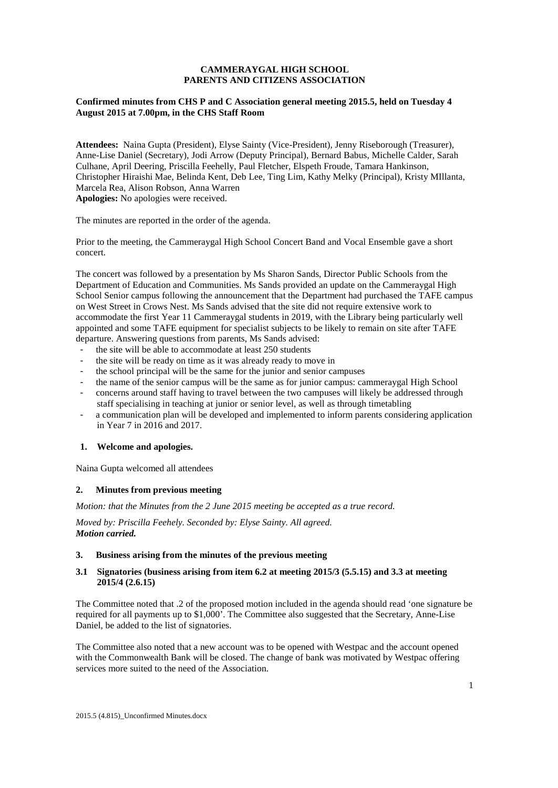# **CAMMERAYGAL HIGH SCHOOL PARENTS AND CITIZENS ASSOCIATION**

## **Confirmed minutes from CHS P and C Association general meeting 2015.5, held on Tuesday 4 August 2015 at 7.00pm, in the CHS Staff Room**

**Attendees:** Naina Gupta (President), Elyse Sainty (Vice-President), Jenny Riseborough (Treasurer), Anne-Lise Daniel (Secretary), Jodi Arrow (Deputy Principal), Bernard Babus, Michelle Calder, Sarah Culhane, April Deering, Priscilla Feehelly, Paul Fletcher, Elspeth Froude, Tamara Hankinson, Christopher Hiraishi Mae, Belinda Kent, Deb Lee, Ting Lim, Kathy Melky (Principal), Kristy MIllanta, Marcela Rea, Alison Robson, Anna Warren **Apologies:** No apologies were received.

The minutes are reported in the order of the agenda.

Prior to the meeting, the Cammeraygal High School Concert Band and Vocal Ensemble gave a short concert.

The concert was followed by a presentation by Ms Sharon Sands, Director Public Schools from the Department of Education and Communities. Ms Sands provided an update on the Cammeraygal High School Senior campus following the announcement that the Department had purchased the TAFE campus on West Street in Crows Nest. Ms Sands advised that the site did not require extensive work to accommodate the first Year 11 Cammeraygal students in 2019, with the Library being particularly well appointed and some TAFE equipment for specialist subjects to be likely to remain on site after TAFE departure. Answering questions from parents, Ms Sands advised:

- the site will be able to accommodate at least 250 students
- the site will be ready on time as it was already ready to move in
- the school principal will be the same for the junior and senior campuses
- the name of the senior campus will be the same as for junior campus: cammeraygal High School
- concerns around staff having to travel between the two campuses will likely be addressed through staff specialising in teaching at junior or senior level, as well as through timetabling
- a communication plan will be developed and implemented to inform parents considering application in Year 7 in 2016 and 2017.

#### **1. Welcome and apologies.**

Naina Gupta welcomed all attendees

### **2. Minutes from previous meeting**

*Motion: that the Minutes from the 2 June 2015 meeting be accepted as a true record.* 

*Moved by: Priscilla Feehely. Seconded by: Elyse Sainty. All agreed. Motion carried.*

### **3. Business arising from the minutes of the previous meeting**

# **3.1 Signatories (business arising from item 6.2 at meeting 2015/3 (5.5.15) and 3.3 at meeting 2015/4 (2.6.15)**

The Committee noted that .2 of the proposed motion included in the agenda should read 'one signature be required for all payments up to \$1,000'. The Committee also suggested that the Secretary, Anne-Lise Daniel, be added to the list of signatories.

The Committee also noted that a new account was to be opened with Westpac and the account opened with the Commonwealth Bank will be closed. The change of bank was motivated by Westpac offering services more suited to the need of the Association.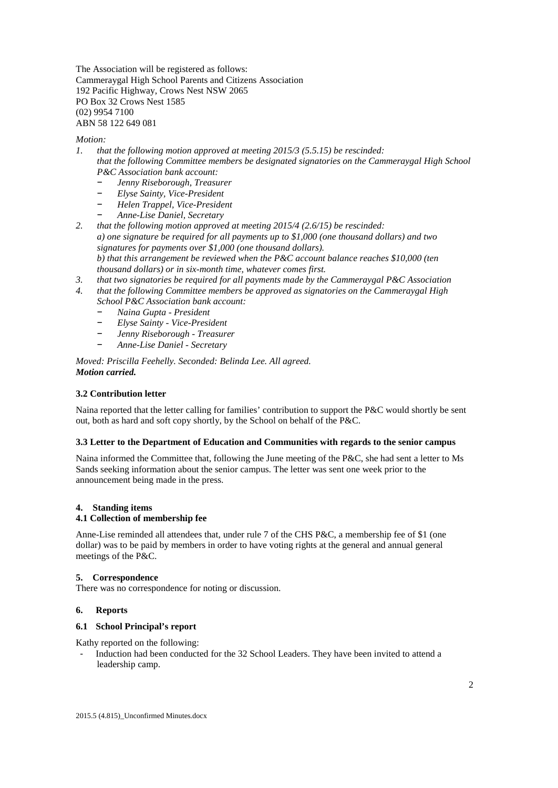The Association will be registered as follows: Cammeraygal High School Parents and Citizens Association 192 Pacific Highway, Crows Nest NSW 2065 PO Box 32 Crows Nest 1585 (02) 9954 7100 ABN 58 122 649 081

### *Motion:*

*1. that the following motion approved at meeting 2015/3 (5.5.15) be rescinded: that the following Committee members be designated signatories on the Cammeraygal High School P&C Association bank account:*

- − *Jenny Riseborough, Treasurer*
- − *Elyse Sainty, Vice-President*
- − *Helen Trappel, Vice-President*
- − *Anne-Lise Daniel, Secretary*

*2. that the following motion approved at meeting 2015/4 (2.6/15) be rescinded: a) one signature be required for all payments up to \$1,000 (one thousand dollars) and two signatures for payments over \$1,000 (one thousand dollars). b) that this arrangement be reviewed when the P&C account balance reaches \$10,000 (ten thousand dollars) or in six-month time, whatever comes first.*

- *3. that two signatories be required for all payments made by the Cammeraygal P&C Association*
- *4. that the following Committee members be approved as signatories on the Cammeraygal High School P&C Association bank account:*
	- − *Naina Gupta - President*
	- − *Elyse Sainty - Vice-President*
	- − *Jenny Riseborough - Treasurer*
	- − *Anne-Lise Daniel - Secretary*

*Moved: Priscilla Feehelly. Seconded: Belinda Lee. All agreed. Motion carried.*

# **3.2 Contribution letter**

Naina reported that the letter calling for families' contribution to support the P&C would shortly be sent out, both as hard and soft copy shortly, by the School on behalf of the P&C.

# **3.3 Letter to the Department of Education and Communities with regards to the senior campus**

Naina informed the Committee that, following the June meeting of the P&C, she had sent a letter to Ms Sands seeking information about the senior campus. The letter was sent one week prior to the announcement being made in the press.

## **4. Standing items**

## **4.1 Collection of membership fee**

Anne-Lise reminded all attendees that, under rule 7 of the CHS P&C, a membership fee of \$1 (one dollar) was to be paid by members in order to have voting rights at the general and annual general meetings of the P&C.

## **5. Correspondence**

There was no correspondence for noting or discussion.

## **6. Reports**

## **6.1 School Principal's report**

Kathy reported on the following:

- Induction had been conducted for the 32 School Leaders. They have been invited to attend a leadership camp.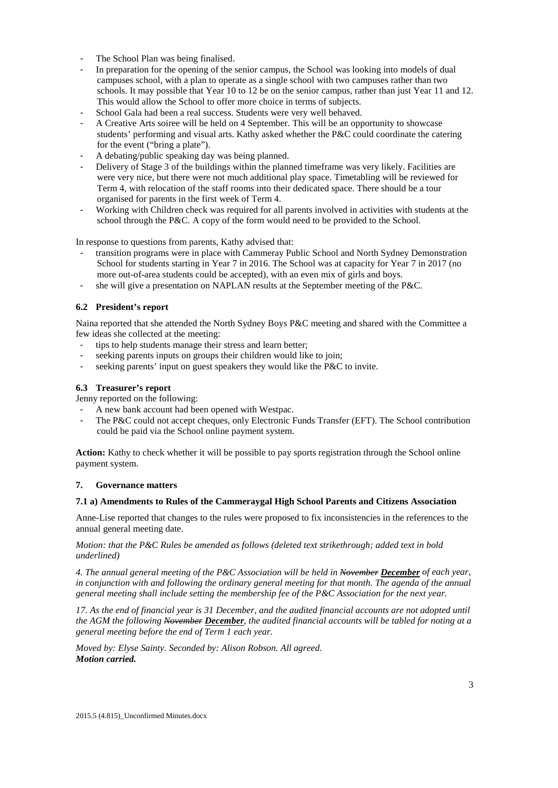- The School Plan was being finalised.
- In preparation for the opening of the senior campus, the School was looking into models of dual campuses school, with a plan to operate as a single school with two campuses rather than two schools. It may possible that Year 10 to 12 be on the senior campus, rather than just Year 11 and 12. This would allow the School to offer more choice in terms of subjects.
- School Gala had been a real success. Students were very well behaved.
- A Creative Arts soiree will be held on 4 September. This will be an opportunity to showcase students' performing and visual arts. Kathy asked whether the P&C could coordinate the catering for the event ("bring a plate").
- A debating/public speaking day was being planned.
- Delivery of Stage 3 of the buildings within the planned timeframe was very likely. Facilities are were very nice, but there were not much additional play space. Timetabling will be reviewed for Term 4, with relocation of the staff rooms into their dedicated space. There should be a tour organised for parents in the first week of Term 4.
- Working with Children check was required for all parents involved in activities with students at the school through the P&C. A copy of the form would need to be provided to the School.

In response to questions from parents, Kathy advised that:

- transition programs were in place with Cammeray Public School and North Sydney Demonstration School for students starting in Year 7 in 2016. The School was at capacity for Year 7 in 2017 (no more out-of-area students could be accepted), with an even mix of girls and boys.
- she will give a presentation on NAPLAN results at the September meeting of the P&C.

# **6.2 President's report**

Naina reported that she attended the North Sydney Boys P&C meeting and shared with the Committee a few ideas she collected at the meeting:

- tips to help students manage their stress and learn better;
- seeking parents inputs on groups their children would like to join;
- seeking parents' input on guest speakers they would like the P&C to invite.

### **6.3 Treasurer's report**

Jenny reported on the following:

- A new bank account had been opened with Westpac.
- The P&C could not accept cheques, only Electronic Funds Transfer (EFT). The School contribution could be paid via the School online payment system.

**Action:** Kathy to check whether it will be possible to pay sports registration through the School online payment system.

#### **7. Governance matters**

### **7.1 a) Amendments to Rules of the Cammeraygal High School Parents and Citizens Association**

Anne-Lise reported that changes to the rules were proposed to fix inconsistencies in the references to the annual general meeting date.

*Motion: that the P&C Rules be amended as follows (deleted text strikethrough; added text in bold underlined)*

*4. The annual general meeting of the P&C Association will be held in November December of each year,*  in conjunction with and following the ordinary general meeting for that month. The agenda of the annual *general meeting shall include setting the membership fee of the P&C Association for the next year.*

*17. As the end of financial year is 31 December, and the audited financial accounts are not adopted until the AGM the following November December, the audited financial accounts will be tabled for noting at a general meeting before the end of Term 1 each year.*

*Moved by: Elyse Sainty. Seconded by: Alison Robson. All agreed. Motion carried.*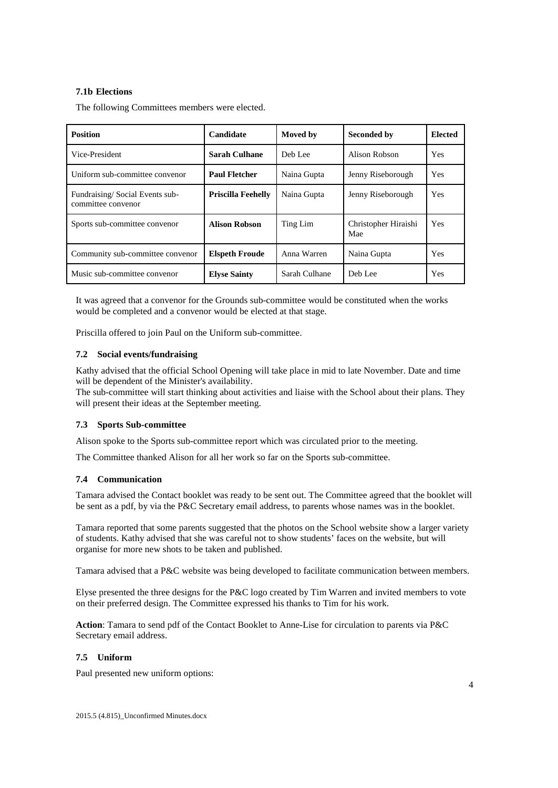# **7.1b Elections**

The following Committees members were elected.

| <b>Position</b>                                      | Candidate                 | <b>Moved</b> by | <b>Seconded by</b>          | <b>Elected</b> |
|------------------------------------------------------|---------------------------|-----------------|-----------------------------|----------------|
| Vice-President                                       | <b>Sarah Culhane</b>      | Deb Lee         | Alison Robson               | Yes            |
| Uniform sub-committee convenor                       | <b>Paul Fletcher</b>      | Naina Gupta     | Jenny Riseborough           | <b>Yes</b>     |
| Fundraising/Social Events sub-<br>committee convenor | <b>Priscilla Feehelly</b> | Naina Gupta     | Jenny Riseborough           | Yes            |
| Sports sub-committee convenor                        | <b>Alison Robson</b>      | Ting Lim        | Christopher Hiraishi<br>Mae | Yes            |
| Community sub-committee convenor                     | <b>Elspeth Froude</b>     | Anna Warren     | Naina Gupta                 | Yes            |
| Music sub-committee convenor                         | <b>Elyse Sainty</b>       | Sarah Culhane   | Deb Lee                     | Yes            |

It was agreed that a convenor for the Grounds sub-committee would be constituted when the works would be completed and a convenor would be elected at that stage.

Priscilla offered to join Paul on the Uniform sub-committee.

## **7.2 Social events/fundraising**

Kathy advised that the official School Opening will take place in mid to late November. Date and time will be dependent of the Minister's availability.

The sub-committee will start thinking about activities and liaise with the School about their plans. They will present their ideas at the September meeting.

### **7.3 Sports Sub-committee**

Alison spoke to the Sports sub-committee report which was circulated prior to the meeting.

The Committee thanked Alison for all her work so far on the Sports sub-committee.

### **7.4 Communication**

Tamara advised the Contact booklet was ready to be sent out. The Committee agreed that the booklet will be sent as a pdf, by via the P&C Secretary email address, to parents whose names was in the booklet.

Tamara reported that some parents suggested that the photos on the School website show a larger variety of students. Kathy advised that she was careful not to show students' faces on the website, but will organise for more new shots to be taken and published.

Tamara advised that a P&C website was being developed to facilitate communication between members.

Elyse presented the three designs for the P&C logo created by Tim Warren and invited members to vote on their preferred design. The Committee expressed his thanks to Tim for his work.

**Action**: Tamara to send pdf of the Contact Booklet to Anne-Lise for circulation to parents via P&C Secretary email address.

# **7.5 Uniform**

Paul presented new uniform options: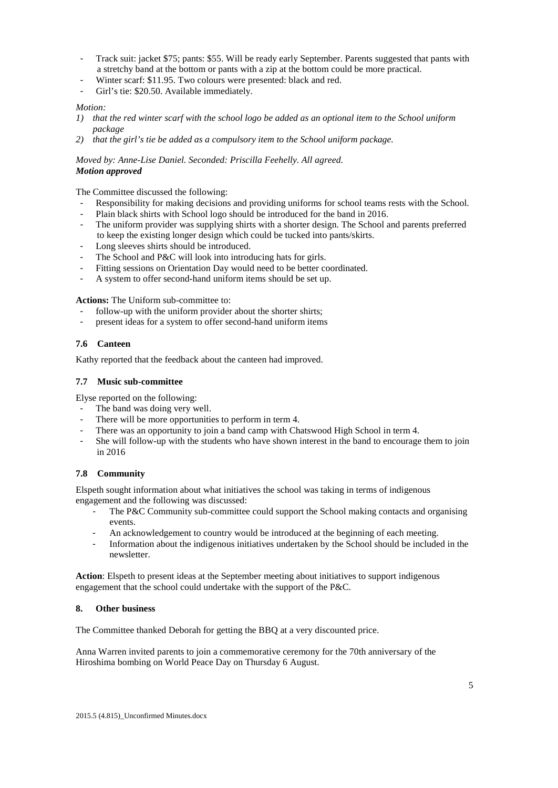- Track suit: jacket \$75; pants: \$55. Will be ready early September. Parents suggested that pants with a stretchy band at the bottom or pants with a zip at the bottom could be more practical.
- Winter scarf: \$11.95. Two colours were presented: black and red.
- Girl's tie: \$20.50. Available immediately.

## *Motion:*

- *1) that the red winter scarf with the school logo be added as an optional item to the School uniform package*
- *2) that the girl's tie be added as a compulsory item to the School uniform package.*

*Moved by: Anne-Lise Daniel. Seconded: Priscilla Feehelly. All agreed. Motion approved*

The Committee discussed the following:

- Responsibility for making decisions and providing uniforms for school teams rests with the School.
- Plain black shirts with School logo should be introduced for the band in 2016.
- The uniform provider was supplying shirts with a shorter design. The School and parents preferred to keep the existing longer design which could be tucked into pants/skirts.
- Long sleeves shirts should be introduced.
- The School and P&C will look into introducing hats for girls.
- Fitting sessions on Orientation Day would need to be better coordinated.
- A system to offer second-hand uniform items should be set up.

**Actions:** The Uniform sub-committee to:

- follow-up with the uniform provider about the shorter shirts;
- present ideas for a system to offer second-hand uniform items

### **7.6 Canteen**

Kathy reported that the feedback about the canteen had improved.

### **7.7 Music sub-committee**

Elyse reported on the following:

- The band was doing very well.
- There will be more opportunities to perform in term 4.
- There was an opportunity to join a band camp with Chatswood High School in term 4.
- She will follow-up with the students who have shown interest in the band to encourage them to join in 2016

## **7.8 Community**

Elspeth sought information about what initiatives the school was taking in terms of indigenous engagement and the following was discussed:

- The P&C Community sub-committee could support the School making contacts and organising events.
- An acknowledgement to country would be introduced at the beginning of each meeting.
- Information about the indigenous initiatives undertaken by the School should be included in the newsletter.

**Action**: Elspeth to present ideas at the September meeting about initiatives to support indigenous engagement that the school could undertake with the support of the P&C.

#### **8. Other business**

The Committee thanked Deborah for getting the BBQ at a very discounted price.

Anna Warren invited parents to join a commemorative ceremony for the 70th anniversary of the Hiroshima bombing on World Peace Day on Thursday 6 August.